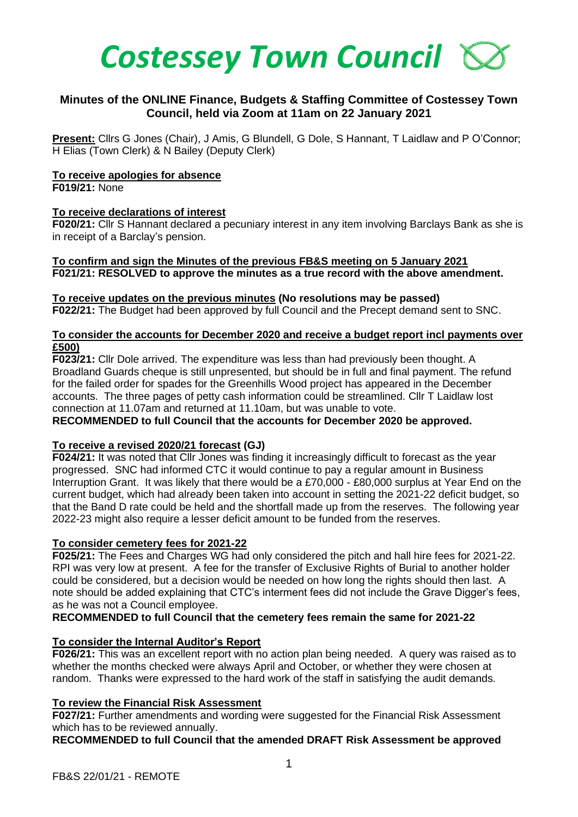

# **Minutes of the ONLINE Finance, Budgets & Staffing Committee of Costessey Town Council, held via Zoom at 11am on 22 January 2021**

**Present:** Cllrs G Jones (Chair), J Amis, G Blundell, G Dole, S Hannant, T Laidlaw and P O'Connor; H Elias (Town Clerk) & N Bailey (Deputy Clerk)

#### **To receive apologies for absence**

**F019/21:** None

#### **To receive declarations of interest**

**F020/21:** Cllr S Hannant declared a pecuniary interest in any item involving Barclays Bank as she is in receipt of a Barclay's pension.

**To confirm and sign the Minutes of the previous FB&S meeting on 5 January 2021 F021/21: RESOLVED to approve the minutes as a true record with the above amendment.**

#### **To receive updates on the previous minutes (No resolutions may be passed)**

**F022/21:** The Budget had been approved by full Council and the Precept demand sent to SNC.

## **To consider the accounts for December 2020 and receive a budget report incl payments over £500)**

**F023/21:** Cllr Dole arrived. The expenditure was less than had previously been thought. A Broadland Guards cheque is still unpresented, but should be in full and final payment. The refund for the failed order for spades for the Greenhills Wood project has appeared in the December accounts. The three pages of petty cash information could be streamlined. Cllr T Laidlaw lost connection at 11.07am and returned at 11.10am, but was unable to vote.

## **RECOMMENDED to full Council that the accounts for December 2020 be approved.**

## **To receive a revised 2020/21 forecast (GJ)**

**F024/21:** It was noted that Cllr Jones was finding it increasingly difficult to forecast as the year progressed. SNC had informed CTC it would continue to pay a regular amount in Business Interruption Grant. It was likely that there would be a £70,000 - £80,000 surplus at Year End on the current budget, which had already been taken into account in setting the 2021-22 deficit budget, so that the Band D rate could be held and the shortfall made up from the reserves. The following year 2022-23 might also require a lesser deficit amount to be funded from the reserves.

## **To consider cemetery fees for 2021-22**

**F025/21:** The Fees and Charges WG had only considered the pitch and hall hire fees for 2021-22. RPI was very low at present. A fee for the transfer of Exclusive Rights of Burial to another holder could be considered, but a decision would be needed on how long the rights should then last. A note should be added explaining that CTC's interment fees did not include the Grave Digger's fees, as he was not a Council employee.

#### **RECOMMENDED to full Council that the cemetery fees remain the same for 2021-22**

## **To consider the Internal Auditor's Report**

**F026/21:** This was an excellent report with no action plan being needed. A query was raised as to whether the months checked were always April and October, or whether they were chosen at random. Thanks were expressed to the hard work of the staff in satisfying the audit demands.

## **To review the Financial Risk Assessment**

**F027/21:** Further amendments and wording were suggested for the Financial Risk Assessment which has to be reviewed annually.

**RECOMMENDED to full Council that the amended DRAFT Risk Assessment be approved**